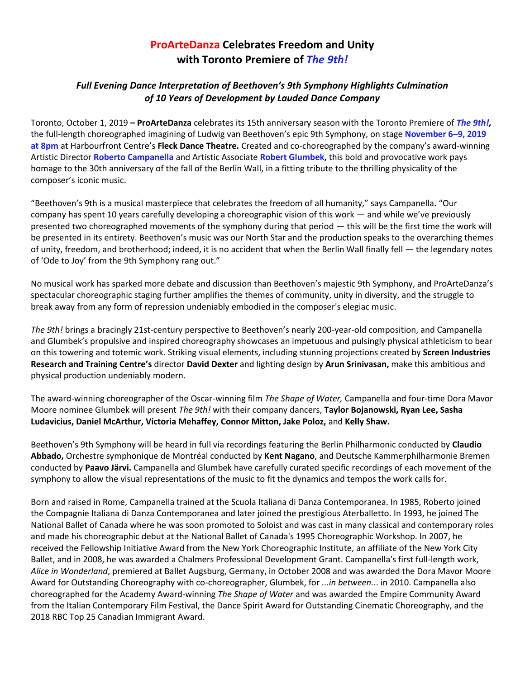## **ProArteDanza Celebrates Freedom and Unity with Toronto Premiere of** *The 9th!*

## *Full Evening Dance Interpretation of Beethoven's 9th Symphony Highlights Culmination of 10 Years of Development by Lauded Dance Company*

Toronto, October 1, 2019 **– ProArteDanza** celebrates its 15th anniversary season with the Toronto Premiere of *The 9th!,* the full-length choreographed imagining of Ludwig van Beethoven's epic 9th Symphony, on stage **November 6–9, 2019 at 8pm** at Harbourfront Centre's **Fleck Dance Theatre.** Created and co-choreographed by the company's award-winning Artistic Director **Roberto Campanella** and Artistic Associate **Robert Glumbek,** this bold and provocative work pays homage to the 30th anniversary of the fall of the Berlin Wall, in a fitting tribute to the thrilling physicality of the composer's iconic music.

"Beethoven's 9th is a musical masterpiece that celebrates the freedom of all humanity," says Campanella**.** "Our company has spent 10 years carefully developing a choreographic vision of this work — and while we've previously presented two choreographed movements of the symphony during that period — this will be the first time the work will be presented in its entirety. Beethoven's music was our North Star and the production speaks to the overarching themes of unity, freedom, and brotherhood; indeed, it is no accident that when the Berlin Wall finally fell — the legendary notes of 'Ode to Joy' from the 9th Symphony rang out."

No musical work has sparked more debate and discussion than Beethoven's majestic 9th Symphony, and ProArteDanza's spectacular choreographic staging further amplifies the themes of community, unity in diversity, and the struggle to break away from any form of repression undeniably embodied in the composer's elegiac music.

*The 9th!* brings a bracingly 21st-century perspective to Beethoven's nearly 200-year-old composition, and Campanella and Glumbek's propulsive and inspired choreography showcases an impetuous and pulsingly physical athleticism to bear on this towering and totemic work. Striking visual elements, including stunning projections created by **Screen Industries Research and Training Centre's** director **David Dexter** and lighting design by **Arun Srinivasan,** make this ambitious and physical production undeniably modern.

The award-winning choreographer of the Oscar-winning film *The Shape of Water,* Campanella and four-time Dora Mavor Moore nominee Glumbek will present *The 9th!* with their company dancers, **Taylor Bojanowski, Ryan Lee, Sasha Ludavicius, Daniel McArthur, Victoria Mehaffey, Connor Mitton, Jake Poloz,** and **Kelly Shaw.** 

Beethoven's 9th Symphony will be heard in full via recordings featuring the Berlin Philharmonic conducted by **Claudio Abbado,** Orchestre symphonique de Montréal conducted by **Kent Nagano**, and Deutsche Kammerphilharmonie Bremen conducted by **Paavo Järvi.** Campanella and Glumbek have carefully curated specific recordings of each movement of the symphony to allow the visual representations of the music to fit the dynamics and tempos the work calls for.

Born and raised in Rome, Campanella trained at the Scuola Italiana di Danza Contemporanea. In 1985, Roberto joined the Compagnie Italiana di Danza Contemporanea and later joined the prestigious Aterballetto. In 1993, he joined The National Ballet of Canada where he was soon promoted to Soloist and was cast in many classical and contemporary roles and made his choreographic debut at the National Ballet of Canada's 1995 Choreographic Workshop. In 2007, he received the Fellowship Initiative Award from the New York Choreographic Institute, an affiliate of the New York City Ballet, and in 2008, he was awarded a Chalmers Professional Development Grant. Campanella's first full-length work, *Alice in Wonderland*, premiered at Ballet Augsburg, Germany, in October 2008 and was awarded the Dora Mavor Moore Award for Outstanding Choreography with co-choreographer, Glumbek, for *...in between..*. in 2010. Campanella also choreographed for the Academy Award-winning *The Shape of Water* and was awarded the Empire Community Award from the Italian Contemporary Film Festival, the Dance Spirit Award for Outstanding Cinematic Choreography, and the 2018 RBC Top 25 Canadian Immigrant Award.